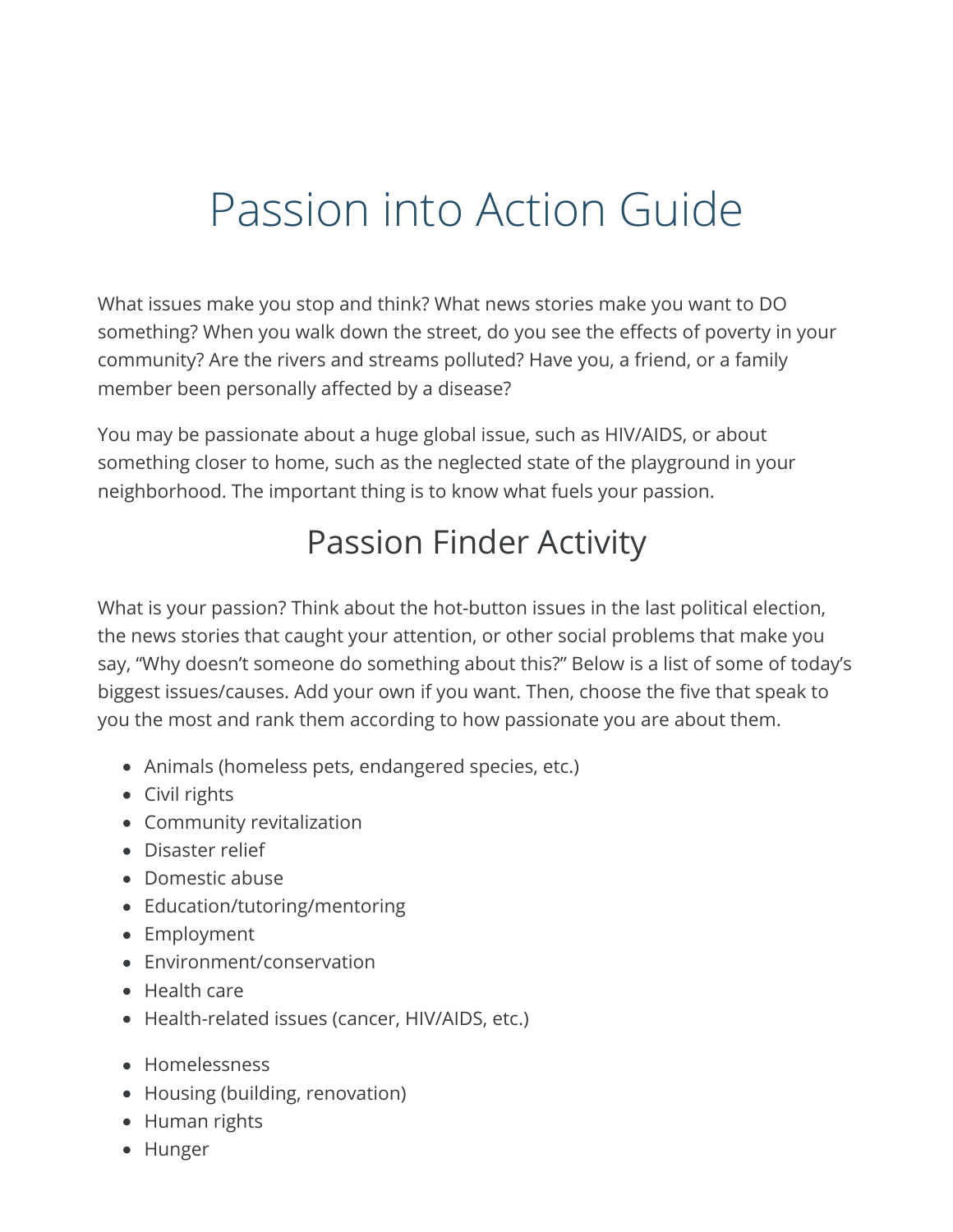### Passion into Action Guide

What issues make you stop and think? What news stories make you want to DO something? When you walk down the street, do you see the effects of poverty in your community? Are the rivers and streams polluted? Have you, a friend, or a family member been personally affected by a disease?

You may be passionate about a huge global issue, such as HIV/AIDS, or about something closer to home, such as the neglected state of the playground in your neighborhood. The important thing is to know what fuels your passion.

### Passion Finder Activity

What is your passion? Think about the hot-button issues in the last political election, the news stories that caught your attention, or other social problems that make you say, "Why doesn't someone do something about this?" Below is a list of some of today's biggest issues/causes. Add your own if you want. Then, choose the five that speak to you the most and rank them according to how passionate you are about them.

- Animals (homeless pets, endangered species, etc.)
- Civil rights
- Community revitalization
- Disaster relief
- Domestic abuse
- Education/tutoring/mentoring
- Employment
- Environment/conservation
- Health care
- Health-related issues (cancer, HIV/AIDS, etc.)
- Homelessness
- Housing (building, renovation)
- Human rights
- Hunger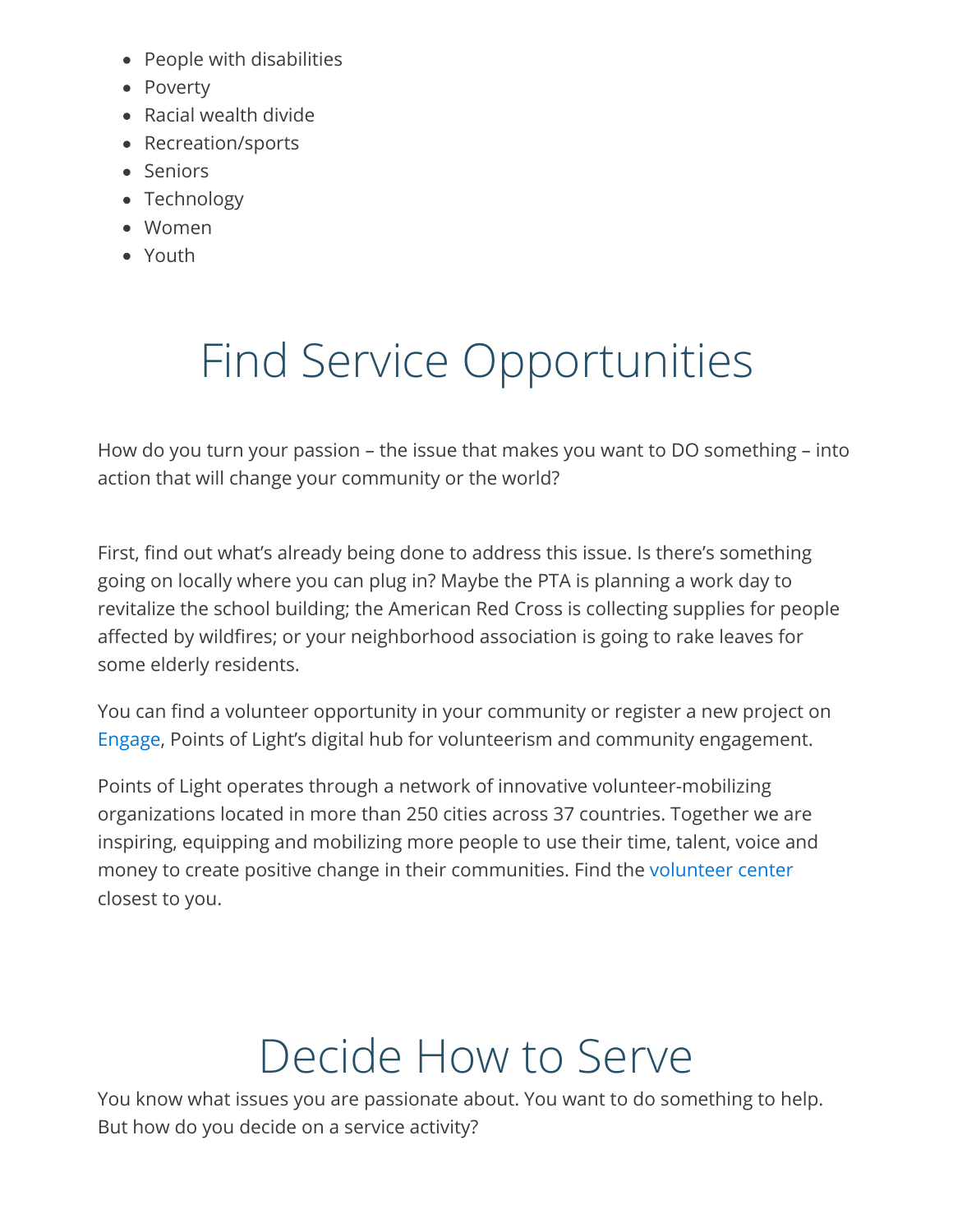- People with disabilities
- Poverty
- Racial wealth divide
- Recreation/sports
- Seniors
- Technology
- Women
- Youth

# Find Service Opportunities

How do you turn your passion – the issue that makes you want to DO something – into action that will change your community or the world?

First, find out what's already being done to address this issue. Is there's something going on locally where you can plug in? Maybe the PTA is planning a work day to revitalize the school building; the American Red Cross is collecting supplies for people affected by wildfires; or your neighborhood association is going to rake leaves for some elderly residents.

You can find a volunteer opportunity in your community or register a new project on [Engage](http://www.allforgood.org/), Points of Light's digital hub for volunteerism and community engagement.

Points of Light operates through a network of innovative volunteer-mobilizing organizations located in more than 250 cities across 37 countries. Together we are inspiring, equipping and mobilizing more people to use their time, talent, voice and money to create positive change in their communities. Find the [volunteer center](http://www.pointsoflight.org/global/our-network) closest to you.

### Decide How to Serve

You know what issues you are passionate about. You want to do something to help. But how do you decide on a service activity?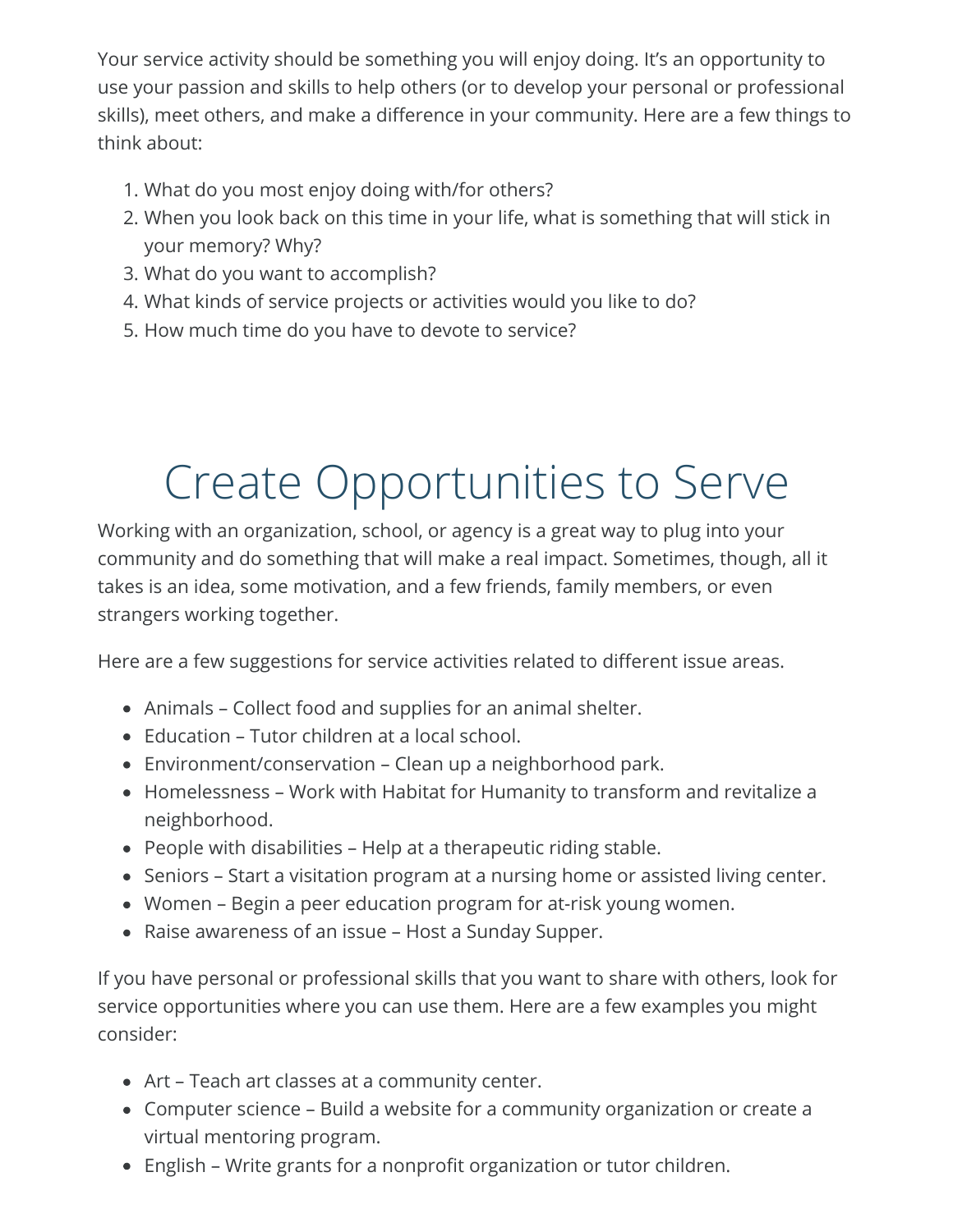Your service activity should be something you will enjoy doing. It's an opportunity to use your passion and skills to help others (or to develop your personal or professional skills), meet others, and make a difference in your community. Here are a few things to think about:

- 1. What do you most enjoy doing with/for others?
- 2. When you look back on this time in your life, what is something that will stick in your memory? Why?
- 3. What do you want to accomplish?
- 4. What kinds of service projects or activities would you like to do?
- 5. How much time do you have to devote to service?

### Create Opportunities to Serve

Working with an organization, school, or agency is a great way to plug into your community and do something that will make a real impact. Sometimes, though, all it takes is an idea, some motivation, and a few friends, family members, or even strangers working together.

Here are a few suggestions for service activities related to different issue areas.

- Animals Collect food and supplies for an animal shelter.
- Education Tutor children at a local school.
- Environment/conservation Clean up a neighborhood park.
- Homelessness Work with Habitat for Humanity to transform and revitalize a neighborhood.
- People with disabilities Help at a therapeutic riding stable.
- Seniors Start a visitation program at a nursing home or assisted living center.
- Women Begin a peer education program for at-risk young women.
- Raise awareness of an issue Host a Sunday Supper.

If you have personal or professional skills that you want to share with others, look for service opportunities where you can use them. Here are a few examples you might consider:

- Art Teach art classes at a community center.
- Computer science Build a website for a community organization or create a virtual mentoring program.
- English Write grants for a nonprofit organization or tutor children.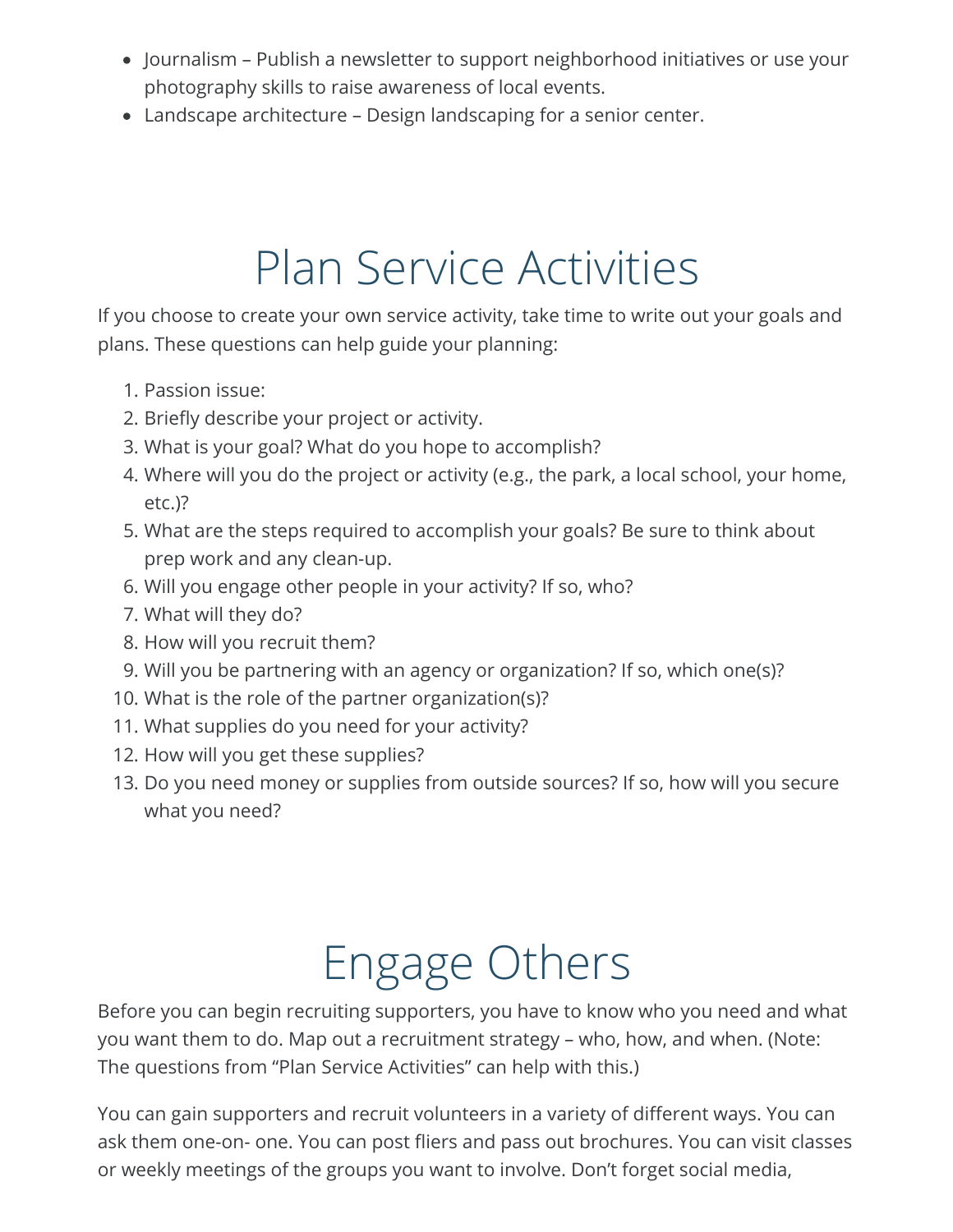- Journalism Publish a newsletter to support neighborhood initiatives or use your photography skills to raise awareness of local events.
- Landscape architecture Design landscaping for a senior center.

### Plan Service Activities

If you choose to create your own service activity, take time to write out your goals and plans. These questions can help guide your planning:

- 1. Passion issue:
- 2. Briefly describe your project or activity.
- 3. What is your goal? What do you hope to accomplish?
- 4. Where will you do the project or activity (e.g., the park, a local school, your home, etc.)?
- 5. What are the steps required to accomplish your goals? Be sure to think about prep work and any clean-up.
- 6. Will you engage other people in your activity? If so, who?
- 7. What will they do?
- 8. How will you recruit them?
- 9. Will you be partnering with an agency or organization? If so, which one(s)?
- 10. What is the role of the partner organization(s)?
- 11. What supplies do you need for your activity?
- 12. How will you get these supplies?
- 13. Do you need money or supplies from outside sources? If so, how will you secure what you need?

# Engage Others

Before you can begin recruiting supporters, you have to know who you need and what you want them to do. Map out a recruitment strategy – who, how, and when. (Note: The questions from "Plan Service Activities" can help with this.)

You can gain supporters and recruit volunteers in a variety of different ways. You can ask them one-on- one. You can post fliers and pass out brochures. You can visit classes or weekly meetings of the groups you want to involve. Don't forget social media,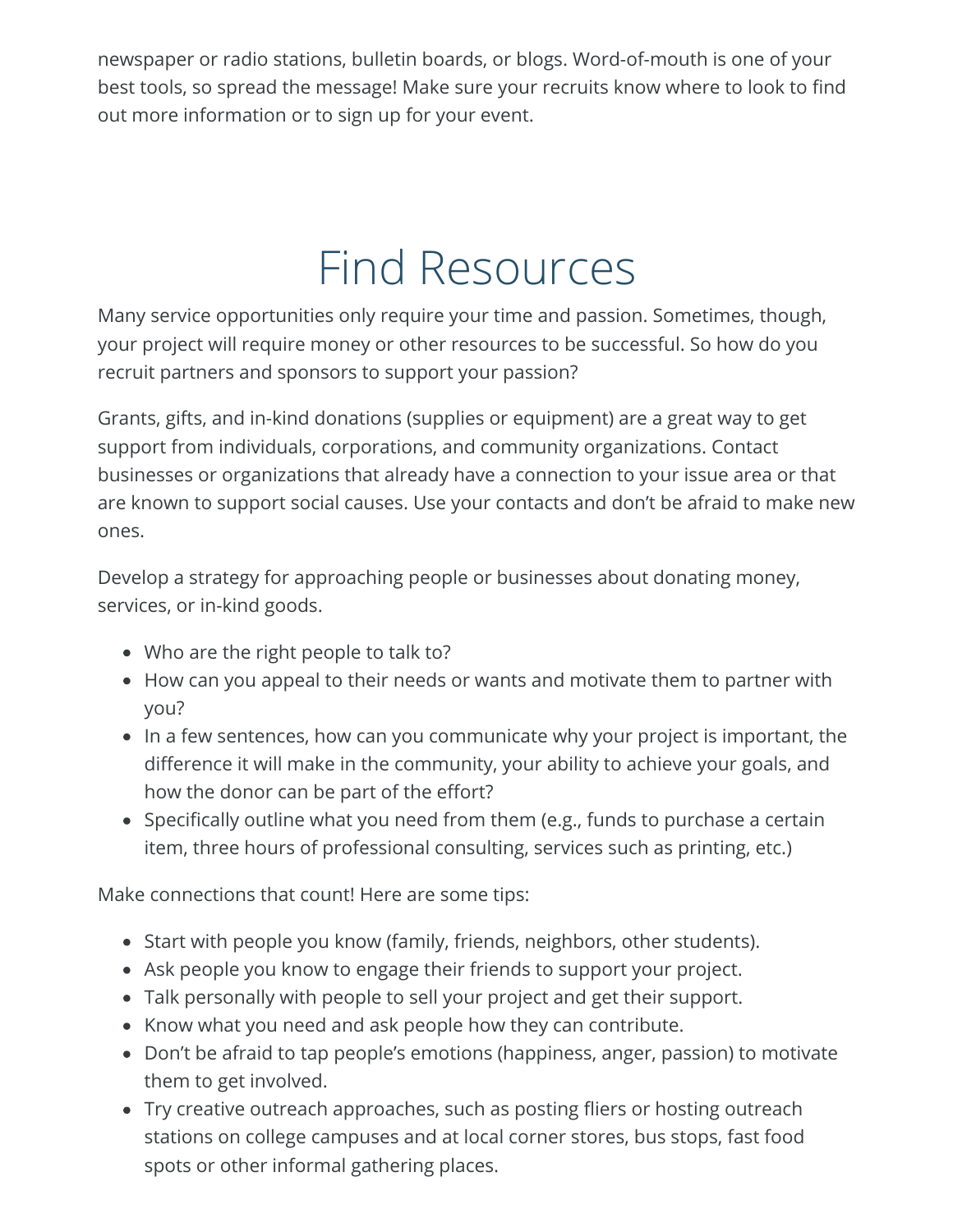newspaper or radio stations, bulletin boards, or blogs. Word-of-mouth is one of your best tools, so spread the message! Make sure your recruits know where to look to find out more information or to sign up for your event.

### Find Resources

Many service opportunities only require your time and passion. Sometimes, though, your project will require money or other resources to be successful. So how do you recruit partners and sponsors to support your passion?

Grants, gifts, and in-kind donations (supplies or equipment) are a great way to get support from individuals, corporations, and community organizations. Contact businesses or organizations that already have a connection to your issue area or that are known to support social causes. Use your contacts and don't be afraid to make new ones.

Develop a strategy for approaching people or businesses about donating money, services, or in-kind goods.

- Who are the right people to talk to?
- How can you appeal to their needs or wants and motivate them to partner with you?
- In a few sentences, how can you communicate why your project is important, the difference it will make in the community, your ability to achieve your goals, and how the donor can be part of the effort?
- Specifically outline what you need from them (e.g., funds to purchase a certain item, three hours of professional consulting, services such as printing, etc.)

Make connections that count! Here are some tips:

- Start with people you know (family, friends, neighbors, other students).
- Ask people you know to engage their friends to support your project.
- Talk personally with people to sell your project and get their support.
- Know what you need and ask people how they can contribute.
- Don't be afraid to tap people's emotions (happiness, anger, passion) to motivate them to get involved.
- Try creative outreach approaches, such as posting fliers or hosting outreach stations on college campuses and at local corner stores, bus stops, fast food spots or other informal gathering places.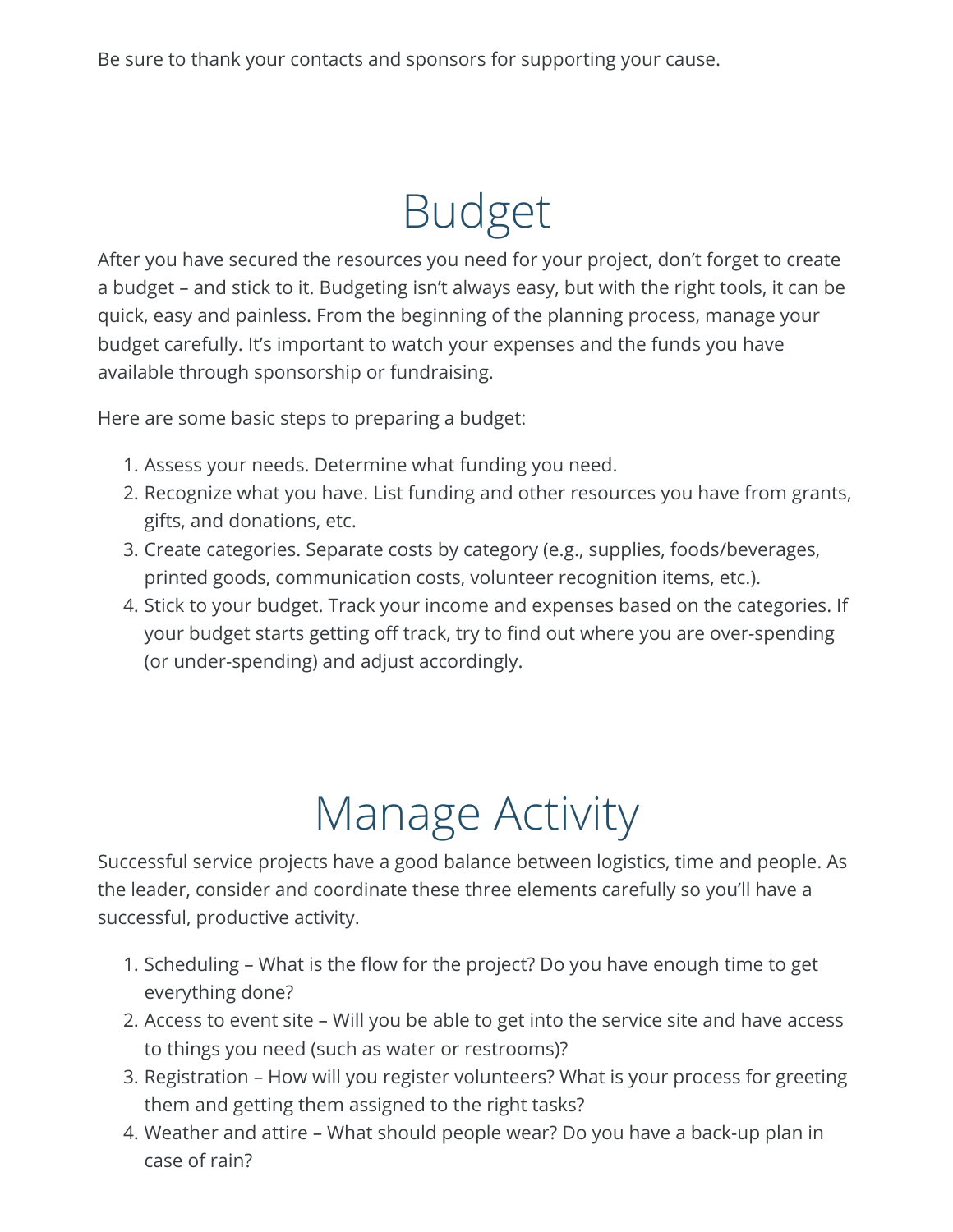### Budget

After you have secured the resources you need for your project, don't forget to create a budget – and stick to it. Budgeting isn't always easy, but with the right tools, it can be quick, easy and painless. From the beginning of the planning process, manage your budget carefully. It's important to watch your expenses and the funds you have available through sponsorship or fundraising.

Here are some basic steps to preparing a budget:

- 1. Assess your needs. Determine what funding you need.
- 2. Recognize what you have. List funding and other resources you have from grants, gifts, and donations, etc.
- 3. Create categories. Separate costs by category (e.g., supplies, foods/beverages, printed goods, communication costs, volunteer recognition items, etc.).
- 4. Stick to your budget. Track your income and expenses based on the categories. If your budget starts getting off track, try to find out where you are over-spending (or under-spending) and adjust accordingly.

## Manage Activity

Successful service projects have a good balance between logistics, time and people. As the leader, consider and coordinate these three elements carefully so you'll have a successful, productive activity.

- 1. Scheduling What is the flow for the project? Do you have enough time to get everything done?
- 2. Access to event site Will you be able to get into the service site and have access to things you need (such as water or restrooms)?
- 3. Registration How will you register volunteers? What is your process for greeting them and getting them assigned to the right tasks?
- 4. Weather and attire What should people wear? Do you have a back-up plan in case of rain?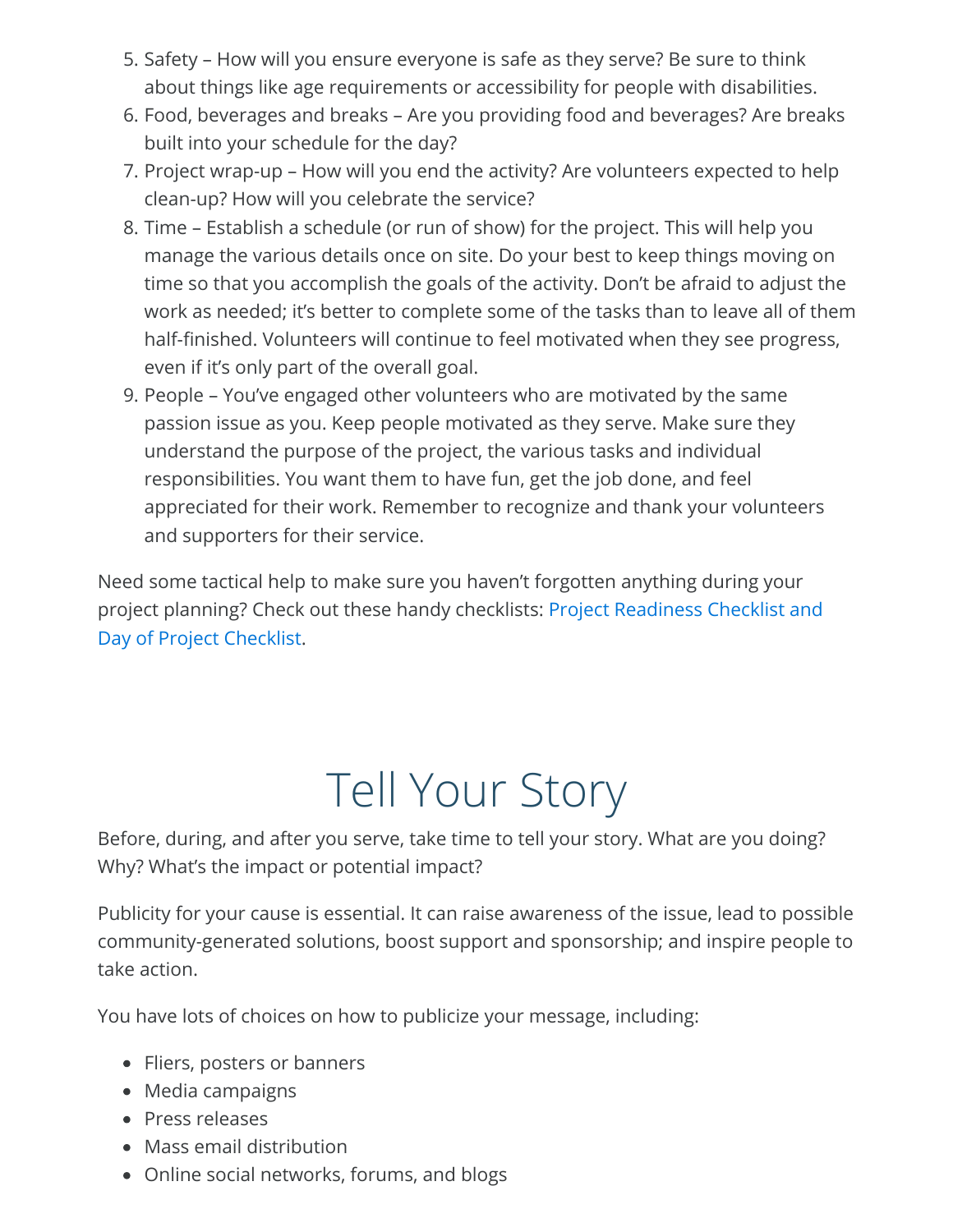- 5. Safety How will you ensure everyone is safe as they serve? Be sure to think about things like age requirements or accessibility for people with disabilities.
- 6. Food, beverages and breaks Are you providing food and beverages? Are breaks built into your schedule for the day?
- 7. Project wrap-up How will you end the activity? Are volunteers expected to help clean-up? How will you celebrate the service?
- 8. Time Establish a schedule (or run of show) for the project. This will help you manage the various details once on site. Do your best to keep things moving on time so that you accomplish the goals of the activity. Don't be afraid to adjust the work as needed; it's better to complete some of the tasks than to leave all of them half-finished. Volunteers will continue to feel motivated when they see progress, even if it's only part of the overall goal.
- 9. People You've engaged other volunteers who are motivated by the same passion issue as you. Keep people motivated as they serve. Make sure they understand the purpose of the project, the various tasks and individual responsibilities. You want them to have fun, get the job done, and feel appreciated for their work. Remember to recognize and thank your volunteers and supporters for their service.

Need some tactical help to make sure you haven't forgotten anything during your [project planning? Check out these handy checklists: Project Readiness Checklist and](#page-8-0) Day of Project Checklist.

## Tell Your Story

Before, during, and after you serve, take time to tell your story. What are you doing? Why? What's the impact or potential impact?

Publicity for your cause is essential. It can raise awareness of the issue, lead to possible community-generated solutions, boost support and sponsorship; and inspire people to take action.

You have lots of choices on how to publicize your message, including:

- Fliers, posters or banners
- Media campaigns
- Press releases
- Mass email distribution
- Online social networks, forums, and blogs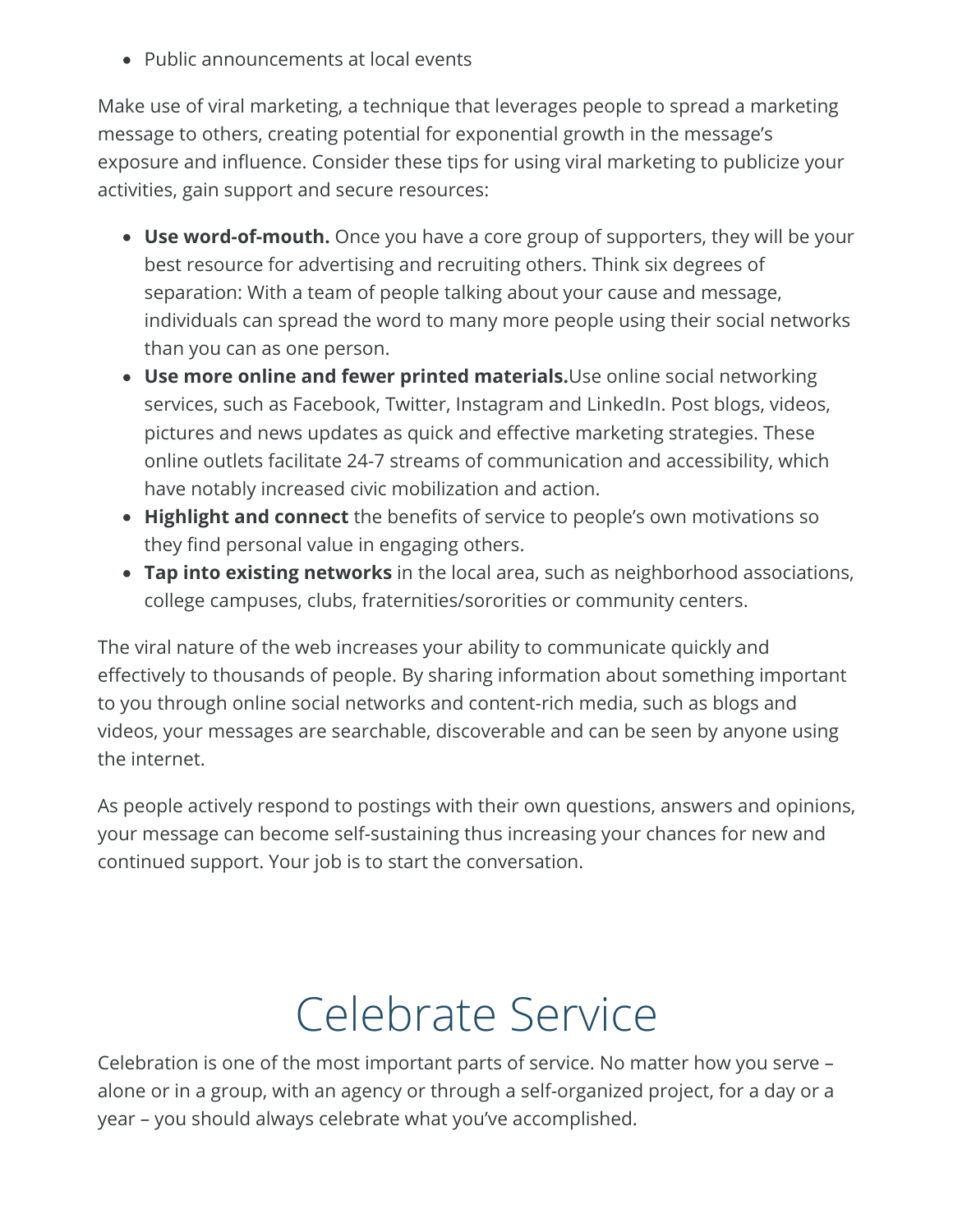Public announcements at local events

Make use of viral marketing, a technique that leverages people to spread a marketing message to others, creating potential for exponential growth in the message's exposure and influence. Consider these tips for using viral marketing to publicize your activities, gain support and secure resources:

- **Use word-of-mouth.** Once you have a core group of supporters, they will be your best resource for advertising and recruiting others. Think six degrees of separation: With a team of people talking about your cause and message, individuals can spread the word to many more people using their social networks than you can as one person.
- **Use more online and fewer printed materials.**Use online social networking services, such as Facebook, Twitter, Instagram and LinkedIn. Post blogs, videos, pictures and news updates as quick and effective marketing strategies. These online outlets facilitate 24-7 streams of communication and accessibility, which have notably increased civic mobilization and action.
- Highlight and connect the benefits of service to people's own motivations so they find personal value in engaging others.
- **Tap into existing networks** in the local area, such as neighborhood associations, college campuses, clubs, fraternities/sororities or community centers.

The viral nature of the web increases your ability to communicate quickly and effectively to thousands of people. By sharing information about something important to you through online social networks and content-rich media, such as blogs and videos, your messages are searchable, discoverable and can be seen by anyone using the internet.

As people actively respond to postings with their own questions, answers and opinions, your message can become self-sustaining thus increasing your chances for new and continued support. Your job is to start the conversation.

## Celebrate Service

Celebration is one of the most important parts of service. No matter how you serve – alone or in a group, with an agency or through a self-organized project, for a day or a year – you should always celebrate what you've accomplished.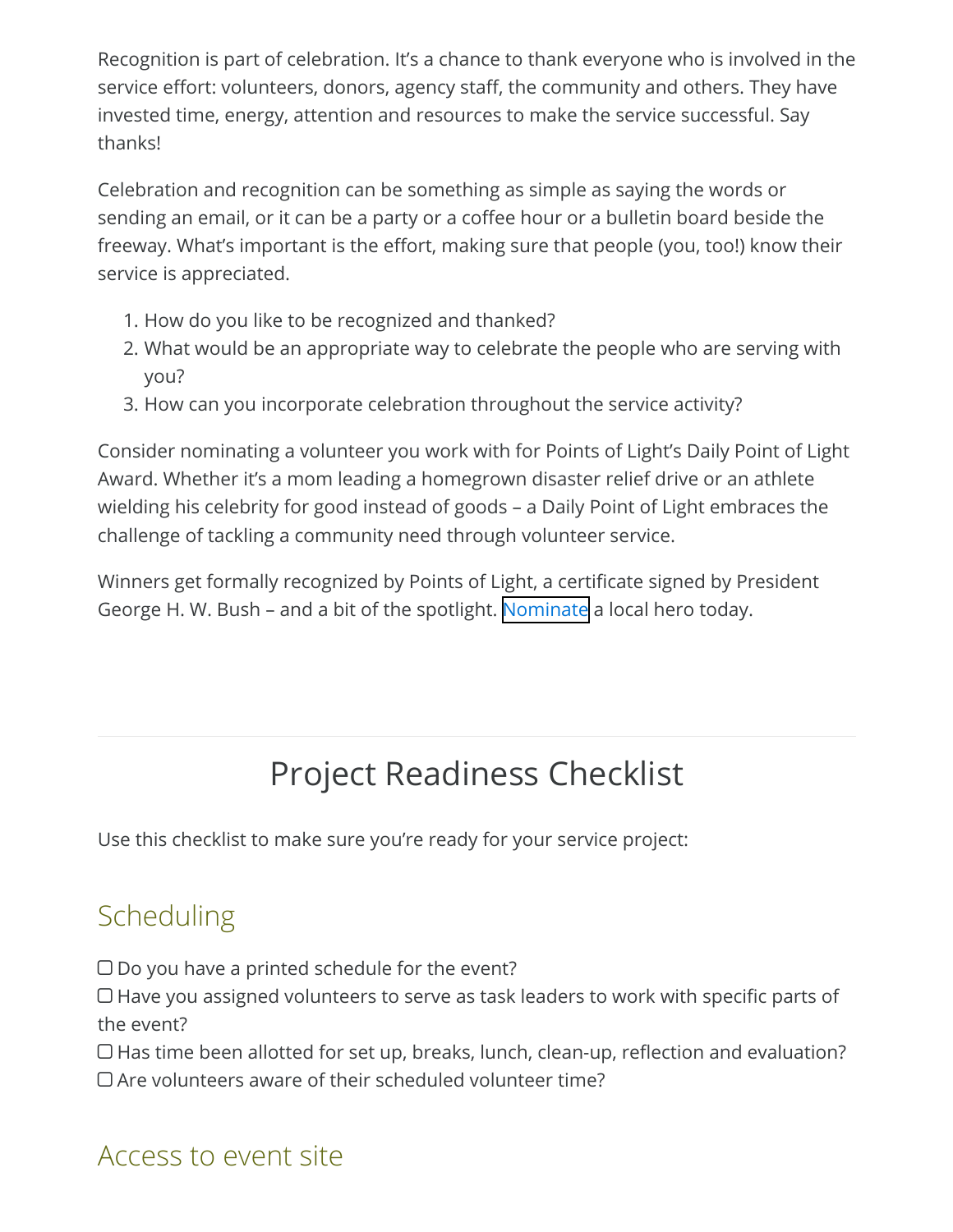Recognition is part of celebration. It's a chance to thank everyone who is involved in the service effort: volunteers, donors, agency staff, the community and others. They have invested time, energy, attention and resources to make the service successful. Say thanks!

Celebration and recognition can be something as simple as saying the words or sending an email, or it can be a party or a coffee hour or a bulletin board beside the freeway. What's important is the effort, making sure that people (you, too!) know their service is appreciated.

- 1. How do you like to be recognized and thanked?
- 2. What would be an appropriate way to celebrate the people who are serving with you?
- 3. How can you incorporate celebration throughout the service activity?

Consider nominating a volunteer you work with for Points of Light's Daily Point of Light Award. Whether it's a mom leading a homegrown disaster relief drive or an athlete wielding his celebrity for good instead of goods – a Daily Point of Light embraces the challenge of tackling a community need through volunteer service.

<span id="page-8-0"></span>Winners get formally recognized by Points of Light, a certificate signed by President George H. W. Bush – and a bit of the spotlight. [Nominate](https://www.pointsoflight.org/dailypointoflight/) a local hero today.

### Project Readiness Checklist

Use this checklist to make sure you're ready for your service project:

#### Scheduling

- $\Box$  Do you have a printed schedule for the event?
- $\Box$  Have you assigned volunteers to serve as task leaders to work with specific parts of the event?
- $\Box$  Has time been allotted for set up, breaks, lunch, clean-up, reflection and evaluation?
- $\Box$  Are volunteers aware of their scheduled volunteer time?

#### Access to event site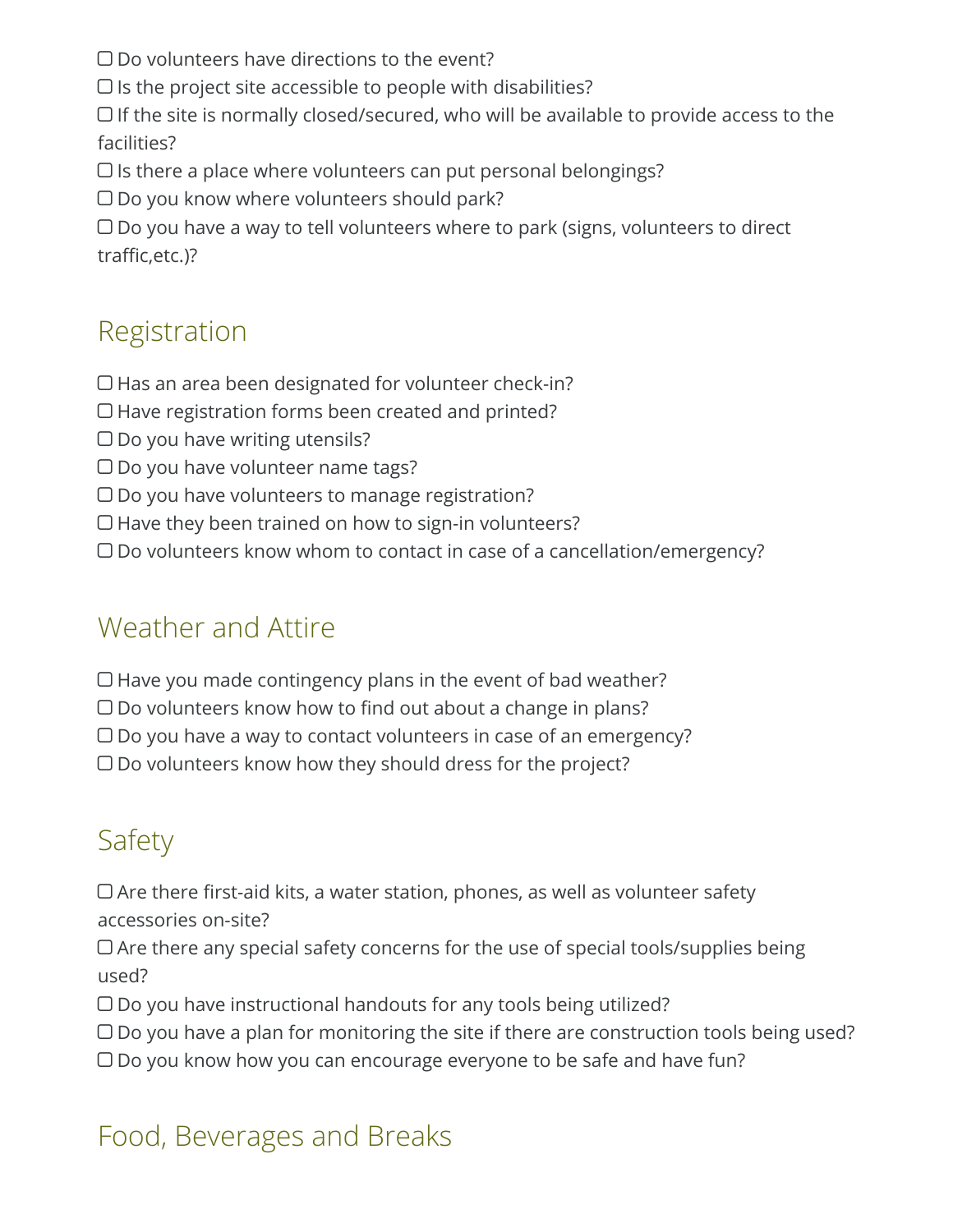- $\square$  Do volunteers have directions to the event?
- $\Box$  Is the project site accessible to people with disabilities?
- $\Box$  If the site is normally closed/secured, who will be available to provide access to the facilities?
- $\Box$  Is there a place where volunteers can put personal belongings?
- $\Box$  Do you know where volunteers should park?

 $\Box$  Do you have a way to tell volunteers where to park (signs, volunteers to direct traffic, etc.)?

#### Registration

- $\Box$  Has an area been designated for volunteer check-in?
- Have registration forms been created and printed?
- $\Box$  Do you have writing utensils?
- $\Box$  Do you have volunteer name tags?
- $\Box$  Do you have volunteers to manage registration?
- $\Box$  Have they been trained on how to sign-in volunteers?
- Do volunteers know whom to contact in case of a cancellation/emergency?

#### Weather and Attire

- $\Box$  Have you made contingency plans in the event of bad weather?
- $\Box$  Do volunteers know how to find out about a change in plans?
- $\Box$  Do you have a way to contact volunteers in case of an emergency?
- $\Box$  Do volunteers know how they should dress for the project?

### **Safety**

 $\Box$  Are there first-aid kits, a water station, phones, as well as volunteer safety accessories on-site?

 $\Box$  Are there any special safety concerns for the use of special tools/supplies being used?

- $\Box$  Do you have instructional handouts for any tools being utilized?
- $\Box$  Do you have a plan for monitoring the site if there are construction tools being used?
- $\Box$  Do you know how you can encourage everyone to be safe and have fun?

#### Food, Beverages and Breaks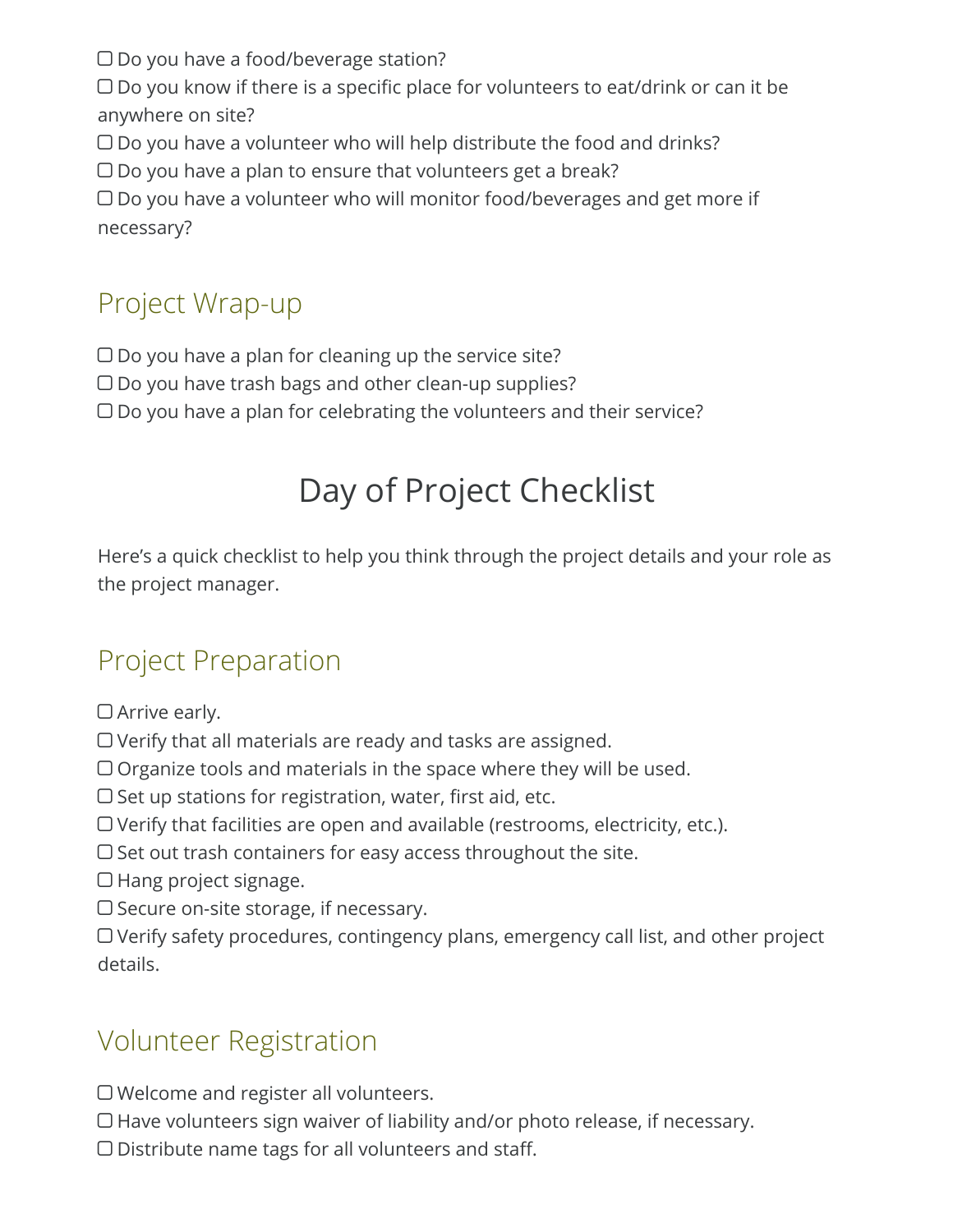$\Box$  Do you have a food/beverage station?

 $\Box$  Do you know if there is a specific place for volunteers to eat/drink or can it be anywhere on site?

- $\Box$  Do you have a volunteer who will help distribute the food and drinks?
- $\Box$  Do you have a plan to ensure that volunteers get a break?

 $\Box$  Do you have a volunteer who will monitor food/beverages and get more if necessary?

#### Project Wrap-up

- $\Box$  Do you have a plan for cleaning up the service site?
- $\Box$  Do you have trash bags and other clean-up supplies?
- $\Box$  Do you have a plan for celebrating the volunteers and their service?

### Day of Project Checklist

Here's a quick checklist to help you think through the project details and your role as the project manager.

#### Project Preparation

- □ Arrive early.
- Verify that all materials are ready and tasks are assigned.
- Organize tools and materials in the space where they will be used.
- $\Box$  Set up stations for registration, water, first aid, etc.
- Verify that facilities are open and available (restrooms, electricity, etc.).
- $\Box$  Set out trash containers for easy access throughout the site.
- $\Box$  Hang project signage.
- $\square$  Secure on-site storage, if necessary.
- Verify safety procedures, contingency plans, emergency call list, and other project details.

#### Volunteer Registration

- Welcome and register all volunteers.
- $\Box$  Have volunteers sign waiver of liability and/or photo release, if necessary.
- $\Box$  Distribute name tags for all volunteers and staff.